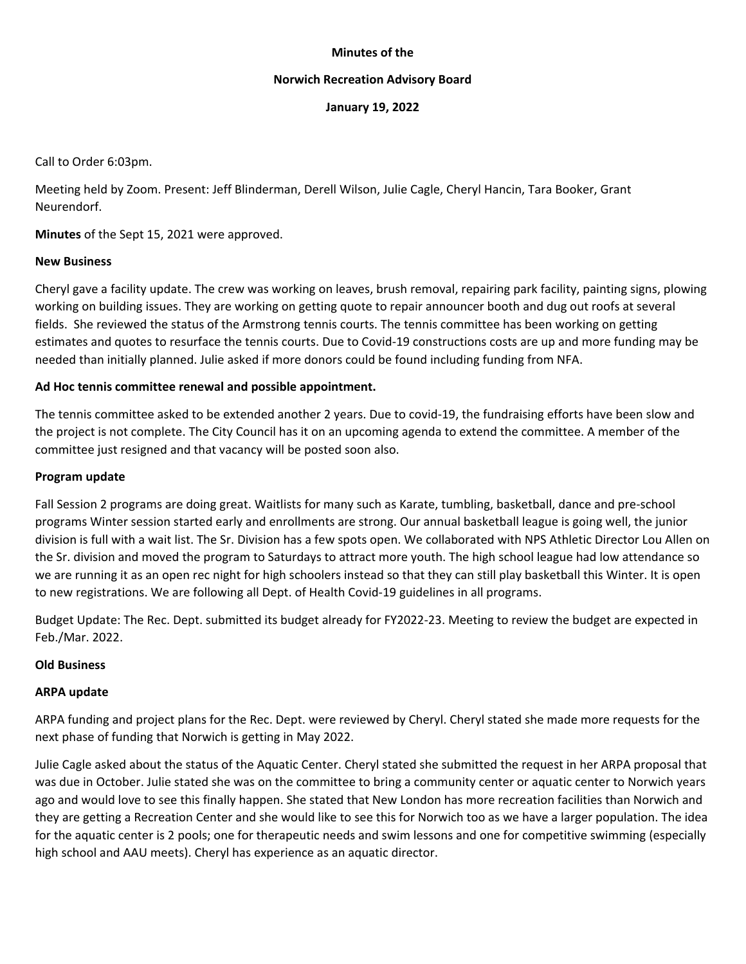#### **Minutes of the**

#### **Norwich Recreation Advisory Board**

**January 19, 2022**

Call to Order 6:03pm.

Meeting held by Zoom. Present: Jeff Blinderman, Derell Wilson, Julie Cagle, Cheryl Hancin, Tara Booker, Grant Neurendorf.

**Minutes** of the Sept 15, 2021 were approved.

## **New Business**

Cheryl gave a facility update. The crew was working on leaves, brush removal, repairing park facility, painting signs, plowing working on building issues. They are working on getting quote to repair announcer booth and dug out roofs at several fields. She reviewed the status of the Armstrong tennis courts. The tennis committee has been working on getting estimates and quotes to resurface the tennis courts. Due to Covid‐19 constructions costs are up and more funding may be needed than initially planned. Julie asked if more donors could be found including funding from NFA.

## **Ad Hoc tennis committee renewal and possible appointment.**

The tennis committee asked to be extended another 2 years. Due to covid‐19, the fundraising efforts have been slow and the project is not complete. The City Council has it on an upcoming agenda to extend the committee. A member of the committee just resigned and that vacancy will be posted soon also.

#### **Program update**

Fall Session 2 programs are doing great. Waitlists for many such as Karate, tumbling, basketball, dance and pre‐school programs Winter session started early and enrollments are strong. Our annual basketball league is going well, the junior division is full with a wait list. The Sr. Division has a few spots open. We collaborated with NPS Athletic Director Lou Allen on the Sr. division and moved the program to Saturdays to attract more youth. The high school league had low attendance so we are running it as an open rec night for high schoolers instead so that they can still play basketball this Winter. It is open to new registrations. We are following all Dept. of Health Covid-19 guidelines in all programs.

Budget Update: The Rec. Dept. submitted its budget already for FY2022‐23. Meeting to review the budget are expected in Feb./Mar. 2022.

#### **Old Business**

#### **ARPA update**

ARPA funding and project plans for the Rec. Dept. were reviewed by Cheryl. Cheryl stated she made more requests for the next phase of funding that Norwich is getting in May 2022.

Julie Cagle asked about the status of the Aquatic Center. Cheryl stated she submitted the request in her ARPA proposal that was due in October. Julie stated she was on the committee to bring a community center or aquatic center to Norwich years ago and would love to see this finally happen. She stated that New London has more recreation facilities than Norwich and they are getting a Recreation Center and she would like to see this for Norwich too as we have a larger population. The idea for the aquatic center is 2 pools; one for therapeutic needs and swim lessons and one for competitive swimming (especially high school and AAU meets). Cheryl has experience as an aquatic director.